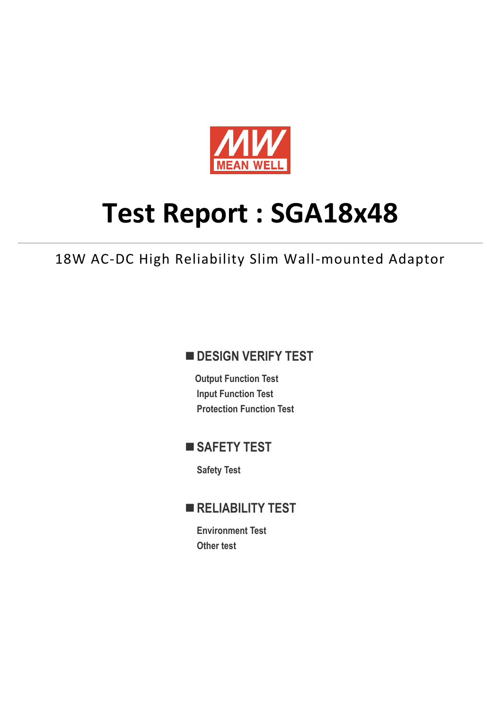

# **Test Report : SGA18x48**

18W AC-DC High Reliability Slim Wall-mounted Adaptor

## **DESIGN VERIFY TEST**

**Output Function Test Input Function Test Protection Function Test**

## **SAFETY TEST**

**Safety Test**

## **RELIABILITY TEST**

**Environment Test Other test**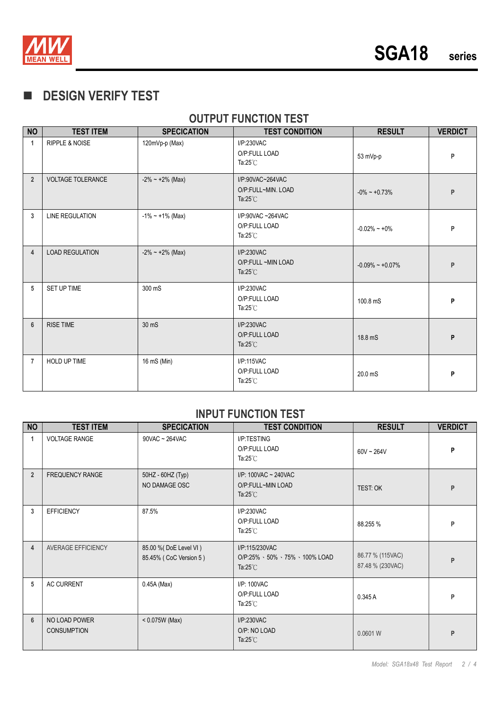

# **DESIGN VERIFY TEST**

## **OUTPUT FUNCTION TEST**

| <b>NO</b>      | <b>TEST ITEM</b>          | <b>SPECICATION</b>     | <b>TEST CONDITION</b>                                        | <b>RESULT</b>          | <b>VERDICT</b> |
|----------------|---------------------------|------------------------|--------------------------------------------------------------|------------------------|----------------|
| 1              | <b>RIPPLE &amp; NOISE</b> | 120mVp-p (Max)         | I/P:230VAC<br>O/P:FULL LOAD<br>Ta: $25^{\circ}$ C            | 53 mVp-p               | P              |
| $\overline{2}$ | <b>VOLTAGE TOLERANCE</b>  | $-2\% \sim +2\%$ (Max) | I/P:90VAC~264VAC<br>O/P:FULL~MIN. LOAD<br>Ta: $25^{\circ}$ C | $-0\% \sim +0.73\%$    | P              |
| 3              | <b>LINE REGULATION</b>    | $-1\%$ ~ +1% (Max)     | I/P:90VAC~264VAC<br>O/P:FULL LOAD<br>Ta: $25^{\circ}$ C      | $-0.02\% - +0\%$       | P              |
| 4              | <b>LOAD REGULATION</b>    | $-2\% \sim +2\%$ (Max) | I/P:230VAC<br>O/P:FULL ~MIN LOAD<br>Ta: $25^{\circ}$ C       | $-0.09\% \sim +0.07\%$ | P              |
| 5              | SET UP TIME               | 300 mS                 | I/P:230VAC<br>O/P:FULL LOAD<br>Ta: $25^{\circ}$ C            | 100.8 mS               | P              |
| $6\phantom{1}$ | <b>RISE TIME</b>          | 30 mS                  | I/P:230VAC<br>O/P:FULL LOAD<br>Ta: $25^{\circ}$ C            | 18.8 mS                | P              |
| $\overline{7}$ | <b>HOLD UP TIME</b>       | 16 mS (Min)            | I/P:115VAC<br>O/P:FULL LOAD<br>Ta: $25^{\circ}$ C            | 20.0 mS                | P              |

#### **INPUT FUNCTION TEST**

| <b>NO</b>      | <b>TEST ITEM</b>                    | <b>SPECICATION</b>                               | <b>TEST CONDITION</b>                                                | <b>RESULT</b>                        | <b>VERDICT</b> |
|----------------|-------------------------------------|--------------------------------------------------|----------------------------------------------------------------------|--------------------------------------|----------------|
| $\mathbf{1}$   | <b>VOLTAGE RANGE</b>                | 90VAC ~ 264VAC                                   | I/P:TESTING<br>O/P:FULL LOAD<br>Ta: $25^{\circ}$ C                   | $60V - 264V$                         | P              |
| $\overline{2}$ | <b>FREQUENCY RANGE</b>              | 50HZ - 60HZ (Typ)<br>NO DAMAGE OSC               | I/P: 100VAC ~ 240VAC<br>O/P:FULL~MIN LOAD<br>Ta: $25^{\circ}$ C      | TEST: OK                             | P              |
| $\overline{3}$ | <b>EFFICIENCY</b>                   | 87.5%                                            | I/P:230VAC<br>O/P:FULL LOAD<br>Ta: $25^{\circ}$ C                    | 88.255 %                             | P              |
| $\overline{4}$ | AVERAGE EFFICIENCY                  | 85.00 % (DoE Level VI)<br>85.45% (CoC Version 5) | I/P:115/230VAC<br>O/P:25% 、50% 、75% 、100% LOAD<br>Ta: $25^{\circ}$ C | 86.77 % (115VAC)<br>87.48 % (230VAC) | P              |
| 5              | <b>AC CURRENT</b>                   | $0.45A$ (Max)                                    | I/P: 100VAC<br>O/P:FULL LOAD<br>Ta: $25^{\circ}$ C                   | 0.345A                               | P              |
| $6\phantom{1}$ | NO LOAD POWER<br><b>CONSUMPTION</b> | $< 0.075W$ (Max)                                 | I/P:230VAC<br>O/P: NO LOAD<br>Ta: $25^{\circ}$ C                     | 0.0601 W                             | P              |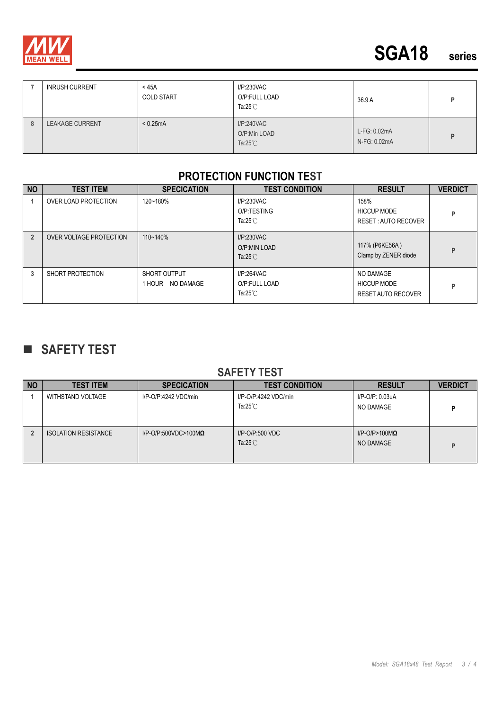

|   | <b>INRUSH CURRENT</b>  | $<$ 45A<br><b>COLD START</b> | I/P:230VAC<br>O/P:FULL LOAD<br>Ta:25 $^{\circ}$ C | 36.9 A                       |   |
|---|------------------------|------------------------------|---------------------------------------------------|------------------------------|---|
| 8 | <b>LEAKAGE CURRENT</b> | < 0.25mA                     | I/P:240VAC<br>O/P:Min LOAD<br>Ta: $25^{\circ}$ C  | L-FG: 0.02mA<br>N-FG: 0.02mA | D |

#### **PROTECTION FUNCTION TEST**

| <b>NO</b>      | <b>TEST ITEM</b>        | <b>SPECICATION</b>                  | <b>TEST CONDITION</b>                             | <b>RESULT</b>                                                | <b>VERDICT</b> |
|----------------|-------------------------|-------------------------------------|---------------------------------------------------|--------------------------------------------------------------|----------------|
|                | OVER LOAD PROTECTION    | 120~180%                            | I/P:230VAC<br>O/P:TESTING<br>Ta: $25^{\circ}$ C   | 158%<br><b>HICCUP MODE</b><br>RESET: AUTO RECOVER            | P              |
| $\overline{2}$ | OVER VOLTAGE PROTECTION | 110~140%                            | I/P:230VAC<br>O/P:MIN LOAD<br>Ta: $25^{\circ}$ C  | 117% (P6KE56A)<br>Clamp by ZENER diode                       | P              |
| 3              | SHORT PROTECTION        | SHORT OUTPUT<br>NO DAMAGE<br>1 HOUR | I/P:264VAC<br>O/P:FULL LOAD<br>Ta: $25^{\circ}$ C | NO DAMAGE<br><b>HICCUP MODE</b><br><b>RESET AUTO RECOVER</b> | P              |

# **SAFETY TEST**

#### **SAFETY TEST**

| <b>NO</b> | <b>TEST ITEM</b>            | <b>SPECICATION</b>              | <b>TEST CONDITION</b>                      | <b>RESULT</b>                         | <b>VERDICT</b> |
|-----------|-----------------------------|---------------------------------|--------------------------------------------|---------------------------------------|----------------|
|           | WITHSTAND VOLTAGE           | I/P-O/P:4242 VDC/min            | I/P-O/P:4242 VDC/min<br>Ta: $25^{\circ}$ C | I/P-O/P: 0.03uA<br>NO DAMAGE          | D              |
|           | <b>ISOLATION RESISTANCE</b> | $I/P$ -O/P:500VDC>100M $\Omega$ | $I/P$ -O/P:500 VDC<br>Ta: $25^{\circ}$ C   | $I/P$ -O/P>100M $\Omega$<br>NO DAMAGE | D              |